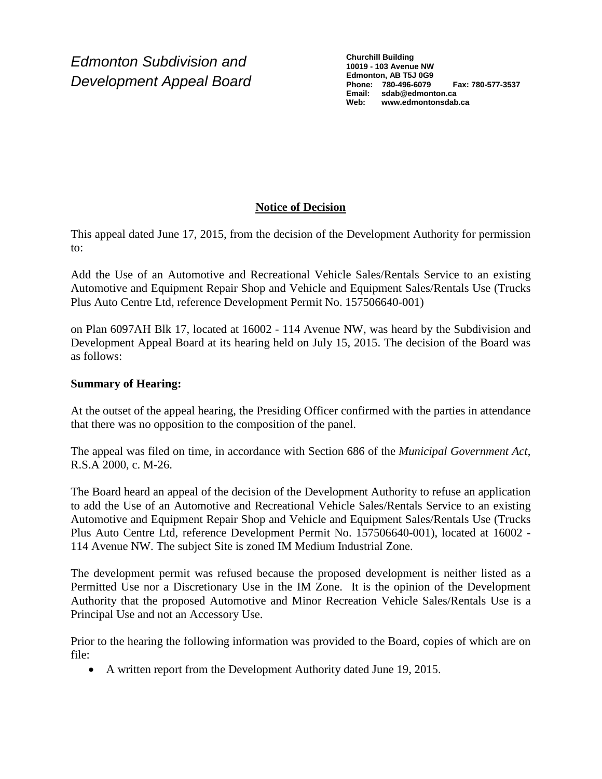*Edmonton Subdivision and Development Appeal Board* **Churchill Building 10019 - 103 Avenue NW Edmonton, AB T5J 0G9 Phone: 780-496-6079 Fax: 780-577-3537 Email: sdab@edmonton.ca Web: www.edmontonsdab.ca**

# **Notice of Decision**

This appeal dated June 17, 2015, from the decision of the Development Authority for permission to:

Add the Use of an Automotive and Recreational Vehicle Sales/Rentals Service to an existing Automotive and Equipment Repair Shop and Vehicle and Equipment Sales/Rentals Use (Trucks Plus Auto Centre Ltd, reference Development Permit No. 157506640-001)

on Plan 6097AH Blk 17, located at 16002 - 114 Avenue NW, was heard by the Subdivision and Development Appeal Board at its hearing held on July 15, 2015. The decision of the Board was as follows:

#### **Summary of Hearing:**

At the outset of the appeal hearing, the Presiding Officer confirmed with the parties in attendance that there was no opposition to the composition of the panel.

The appeal was filed on time, in accordance with Section 686 of the *Municipal Government Act*, R.S.A 2000, c. M-26.

The Board heard an appeal of the decision of the Development Authority to refuse an application to add the Use of an Automotive and Recreational Vehicle Sales/Rentals Service to an existing Automotive and Equipment Repair Shop and Vehicle and Equipment Sales/Rentals Use (Trucks Plus Auto Centre Ltd, reference Development Permit No. 157506640-001), located at 16002 - 114 Avenue NW. The subject Site is zoned IM Medium Industrial Zone.

The development permit was refused because the proposed development is neither listed as a Permitted Use nor a Discretionary Use in the IM Zone. It is the opinion of the Development Authority that the proposed Automotive and Minor Recreation Vehicle Sales/Rentals Use is a Principal Use and not an Accessory Use.

Prior to the hearing the following information was provided to the Board, copies of which are on file:

• A written report from the Development Authority dated June 19, 2015.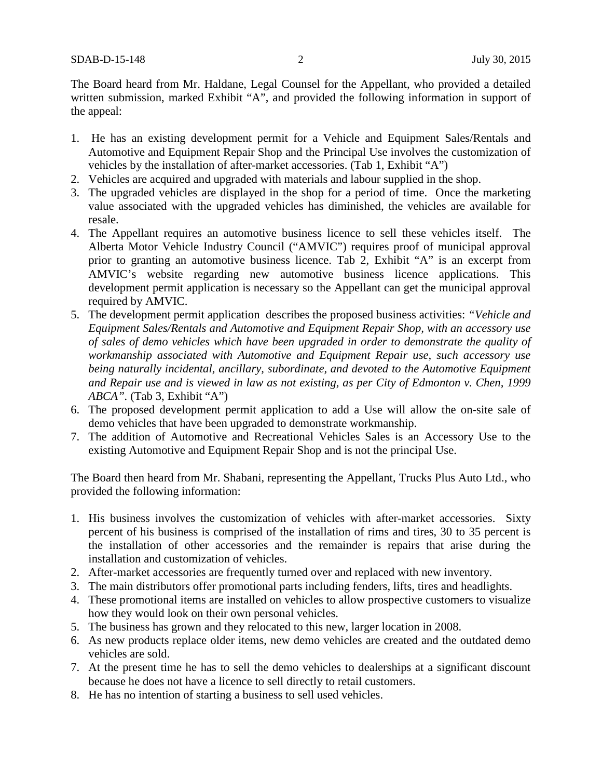The Board heard from Mr. Haldane, Legal Counsel for the Appellant, who provided a detailed written submission, marked Exhibit "A", and provided the following information in support of the appeal:

- 1. He has an existing development permit for a Vehicle and Equipment Sales/Rentals and Automotive and Equipment Repair Shop and the Principal Use involves the customization of vehicles by the installation of after-market accessories. (Tab 1, Exhibit "A")
- 2. Vehicles are acquired and upgraded with materials and labour supplied in the shop.
- 3. The upgraded vehicles are displayed in the shop for a period of time. Once the marketing value associated with the upgraded vehicles has diminished, the vehicles are available for resale.
- 4. The Appellant requires an automotive business licence to sell these vehicles itself. The Alberta Motor Vehicle Industry Council ("AMVIC") requires proof of municipal approval prior to granting an automotive business licence. Tab 2, Exhibit "A" is an excerpt from AMVIC's website regarding new automotive business licence applications. This development permit application is necessary so the Appellant can get the municipal approval required by AMVIC.
- 5. The development permit application describes the proposed business activities: *"Vehicle and Equipment Sales/Rentals and Automotive and Equipment Repair Shop, with an accessory use of sales of demo vehicles which have been upgraded in order to demonstrate the quality of workmanship associated with Automotive and Equipment Repair use, such accessory use being naturally incidental, ancillary, subordinate, and devoted to the Automotive Equipment and Repair use and is viewed in law as not existing, as per City of Edmonton v. Chen, 1999 ABCA".* (Tab 3, Exhibit "A")
- 6. The proposed development permit application to add a Use will allow the on-site sale of demo vehicles that have been upgraded to demonstrate workmanship.
- 7. The addition of Automotive and Recreational Vehicles Sales is an Accessory Use to the existing Automotive and Equipment Repair Shop and is not the principal Use.

The Board then heard from Mr. Shabani, representing the Appellant, Trucks Plus Auto Ltd., who provided the following information:

- 1. His business involves the customization of vehicles with after-market accessories. Sixty percent of his business is comprised of the installation of rims and tires, 30 to 35 percent is the installation of other accessories and the remainder is repairs that arise during the installation and customization of vehicles.
- 2. After-market accessories are frequently turned over and replaced with new inventory.
- 3. The main distributors offer promotional parts including fenders, lifts, tires and headlights.
- 4. These promotional items are installed on vehicles to allow prospective customers to visualize how they would look on their own personal vehicles.
- 5. The business has grown and they relocated to this new, larger location in 2008.
- 6. As new products replace older items, new demo vehicles are created and the outdated demo vehicles are sold.
- 7. At the present time he has to sell the demo vehicles to dealerships at a significant discount because he does not have a licence to sell directly to retail customers.
- 8. He has no intention of starting a business to sell used vehicles.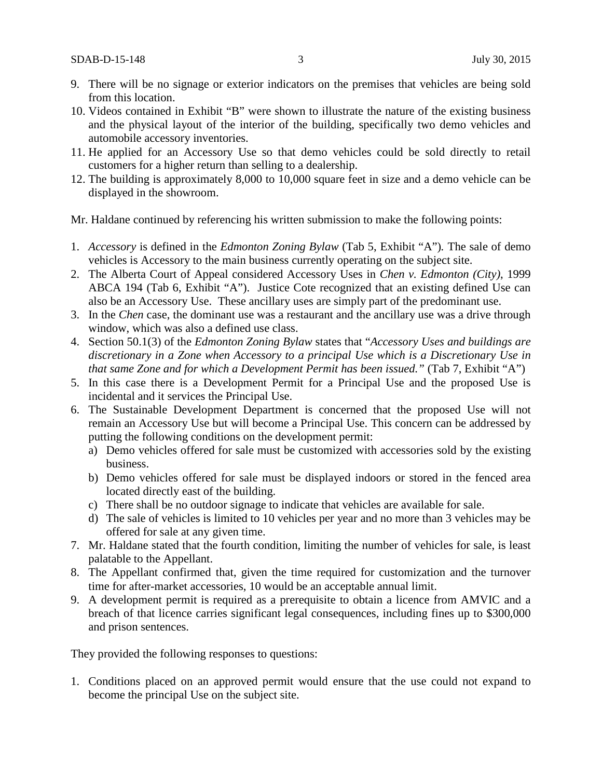- 9. There will be no signage or exterior indicators on the premises that vehicles are being sold from this location.
- 10. Videos contained in Exhibit "B" were shown to illustrate the nature of the existing business and the physical layout of the interior of the building, specifically two demo vehicles and automobile accessory inventories.
- 11. He applied for an Accessory Use so that demo vehicles could be sold directly to retail customers for a higher return than selling to a dealership.
- 12. The building is approximately 8,000 to 10,000 square feet in size and a demo vehicle can be displayed in the showroom.

Mr. Haldane continued by referencing his written submission to make the following points:

- 1. *Accessory* is defined in the *Edmonton Zoning Bylaw* (Tab 5, Exhibit "A")*.* The sale of demo vehicles is Accessory to the main business currently operating on the subject site.
- 2. The Alberta Court of Appeal considered Accessory Uses in *Chen v. Edmonton (City)*, 1999 ABCA 194 (Tab 6, Exhibit "A"). Justice Cote recognized that an existing defined Use can also be an Accessory Use. These ancillary uses are simply part of the predominant use.
- 3. In the *Chen* case, the dominant use was a restaurant and the ancillary use was a drive through window, which was also a defined use class.
- 4. Section 50.1(3) of the *Edmonton Zoning Bylaw* states that "*Accessory Uses and buildings are discretionary in a Zone when Accessory to a principal Use which is a Discretionary Use in that same Zone and for which a Development Permit has been issued."* (Tab 7, Exhibit "A")
- 5. In this case there is a Development Permit for a Principal Use and the proposed Use is incidental and it services the Principal Use.
- 6. The Sustainable Development Department is concerned that the proposed Use will not remain an Accessory Use but will become a Principal Use. This concern can be addressed by putting the following conditions on the development permit:
	- a) Demo vehicles offered for sale must be customized with accessories sold by the existing business.
	- b) Demo vehicles offered for sale must be displayed indoors or stored in the fenced area located directly east of the building.
	- c) There shall be no outdoor signage to indicate that vehicles are available for sale.
	- d) The sale of vehicles is limited to 10 vehicles per year and no more than 3 vehicles may be offered for sale at any given time.
- 7. Mr. Haldane stated that the fourth condition, limiting the number of vehicles for sale, is least palatable to the Appellant.
- 8. The Appellant confirmed that, given the time required for customization and the turnover time for after-market accessories, 10 would be an acceptable annual limit.
- 9. A development permit is required as a prerequisite to obtain a licence from AMVIC and a breach of that licence carries significant legal consequences, including fines up to \$300,000 and prison sentences.

They provided the following responses to questions:

1. Conditions placed on an approved permit would ensure that the use could not expand to become the principal Use on the subject site.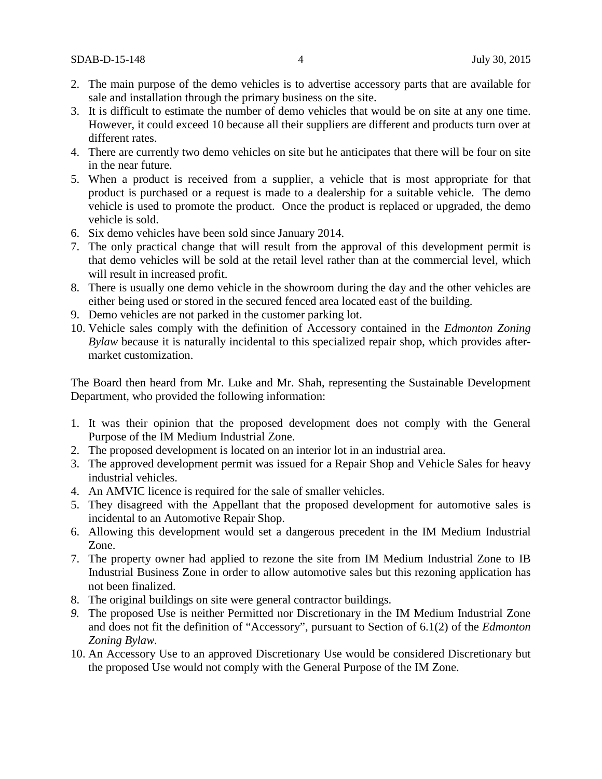- 2. The main purpose of the demo vehicles is to advertise accessory parts that are available for sale and installation through the primary business on the site.
- 3. It is difficult to estimate the number of demo vehicles that would be on site at any one time. However, it could exceed 10 because all their suppliers are different and products turn over at different rates.
- 4. There are currently two demo vehicles on site but he anticipates that there will be four on site in the near future.
- 5. When a product is received from a supplier, a vehicle that is most appropriate for that product is purchased or a request is made to a dealership for a suitable vehicle. The demo vehicle is used to promote the product. Once the product is replaced or upgraded, the demo vehicle is sold.
- 6. Six demo vehicles have been sold since January 2014.
- 7. The only practical change that will result from the approval of this development permit is that demo vehicles will be sold at the retail level rather than at the commercial level, which will result in increased profit.
- 8. There is usually one demo vehicle in the showroom during the day and the other vehicles are either being used or stored in the secured fenced area located east of the building.
- 9. Demo vehicles are not parked in the customer parking lot.
- 10. Vehicle sales comply with the definition of Accessory contained in the *Edmonton Zoning Bylaw* because it is naturally incidental to this specialized repair shop, which provides aftermarket customization.

The Board then heard from Mr. Luke and Mr. Shah, representing the Sustainable Development Department, who provided the following information:

- 1. It was their opinion that the proposed development does not comply with the General Purpose of the IM Medium Industrial Zone.
- 2. The proposed development is located on an interior lot in an industrial area.
- 3. The approved development permit was issued for a Repair Shop and Vehicle Sales for heavy industrial vehicles.
- 4. An AMVIC licence is required for the sale of smaller vehicles.
- 5. They disagreed with the Appellant that the proposed development for automotive sales is incidental to an Automotive Repair Shop.
- 6. Allowing this development would set a dangerous precedent in the IM Medium Industrial Zone.
- 7. The property owner had applied to rezone the site from IM Medium Industrial Zone to IB Industrial Business Zone in order to allow automotive sales but this rezoning application has not been finalized.
- 8. The original buildings on site were general contractor buildings.
- *9.* The proposed Use is neither Permitted nor Discretionary in the IM Medium Industrial Zone and does not fit the definition of "Accessory", pursuant to Section of 6.1(2) of the *Edmonton Zoning Bylaw.*
- 10. An Accessory Use to an approved Discretionary Use would be considered Discretionary but the proposed Use would not comply with the General Purpose of the IM Zone.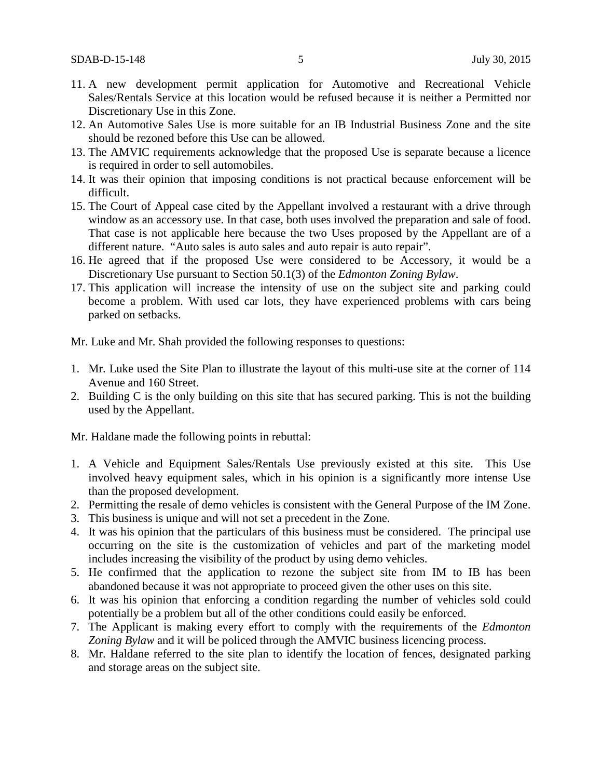- 11. A new development permit application for Automotive and Recreational Vehicle Sales/Rentals Service at this location would be refused because it is neither a Permitted nor Discretionary Use in this Zone.
- 12. An Automotive Sales Use is more suitable for an IB Industrial Business Zone and the site should be rezoned before this Use can be allowed.
- 13. The AMVIC requirements acknowledge that the proposed Use is separate because a licence is required in order to sell automobiles.
- 14. It was their opinion that imposing conditions is not practical because enforcement will be difficult.
- 15. The Court of Appeal case cited by the Appellant involved a restaurant with a drive through window as an accessory use. In that case, both uses involved the preparation and sale of food. That case is not applicable here because the two Uses proposed by the Appellant are of a different nature. "Auto sales is auto sales and auto repair is auto repair".
- 16. He agreed that if the proposed Use were considered to be Accessory, it would be a Discretionary Use pursuant to Section 50.1(3) of the *Edmonton Zoning Bylaw*.
- 17. This application will increase the intensity of use on the subject site and parking could become a problem. With used car lots, they have experienced problems with cars being parked on setbacks.

Mr. Luke and Mr. Shah provided the following responses to questions:

- 1. Mr. Luke used the Site Plan to illustrate the layout of this multi-use site at the corner of 114 Avenue and 160 Street.
- 2. Building C is the only building on this site that has secured parking. This is not the building used by the Appellant.

Mr. Haldane made the following points in rebuttal:

- 1. A Vehicle and Equipment Sales/Rentals Use previously existed at this site. This Use involved heavy equipment sales, which in his opinion is a significantly more intense Use than the proposed development.
- 2. Permitting the resale of demo vehicles is consistent with the General Purpose of the IM Zone.
- 3. This business is unique and will not set a precedent in the Zone.
- 4. It was his opinion that the particulars of this business must be considered. The principal use occurring on the site is the customization of vehicles and part of the marketing model includes increasing the visibility of the product by using demo vehicles.
- 5. He confirmed that the application to rezone the subject site from IM to IB has been abandoned because it was not appropriate to proceed given the other uses on this site.
- 6. It was his opinion that enforcing a condition regarding the number of vehicles sold could potentially be a problem but all of the other conditions could easily be enforced.
- 7. The Applicant is making every effort to comply with the requirements of the *Edmonton Zoning Bylaw* and it will be policed through the AMVIC business licencing process.
- 8. Mr. Haldane referred to the site plan to identify the location of fences, designated parking and storage areas on the subject site.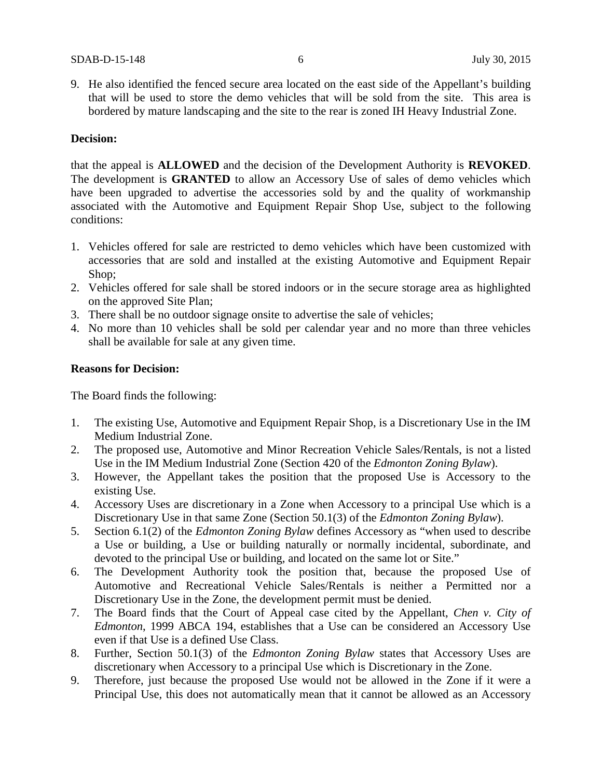9. He also identified the fenced secure area located on the east side of the Appellant's building that will be used to store the demo vehicles that will be sold from the site. This area is bordered by mature landscaping and the site to the rear is zoned IH Heavy Industrial Zone.

# **Decision:**

that the appeal is **ALLOWED** and the decision of the Development Authority is **REVOKED**. The development is **GRANTED** to allow an Accessory Use of sales of demo vehicles which have been upgraded to advertise the accessories sold by and the quality of workmanship associated with the Automotive and Equipment Repair Shop Use, subject to the following conditions:

- 1. Vehicles offered for sale are restricted to demo vehicles which have been customized with accessories that are sold and installed at the existing Automotive and Equipment Repair Shop;
- 2. Vehicles offered for sale shall be stored indoors or in the secure storage area as highlighted on the approved Site Plan;
- 3. There shall be no outdoor signage onsite to advertise the sale of vehicles;
- 4. No more than 10 vehicles shall be sold per calendar year and no more than three vehicles shall be available for sale at any given time.

# **Reasons for Decision:**

The Board finds the following:

- 1. The existing Use, Automotive and Equipment Repair Shop, is a Discretionary Use in the IM Medium Industrial Zone.
- 2. The proposed use, Automotive and Minor Recreation Vehicle Sales/Rentals, is not a listed Use in the IM Medium Industrial Zone (Section 420 of the *Edmonton Zoning Bylaw*).
- 3. However, the Appellant takes the position that the proposed Use is Accessory to the existing Use.
- 4. Accessory Uses are discretionary in a Zone when Accessory to a principal Use which is a Discretionary Use in that same Zone (Section 50.1(3) of the *Edmonton Zoning Bylaw*).
- 5. Section 6.1(2) of the *Edmonton Zoning Bylaw* defines Accessory as "when used to describe a Use or building, a Use or building naturally or normally incidental, subordinate, and devoted to the principal Use or building, and located on the same lot or Site."
- 6. The Development Authority took the position that, because the proposed Use of Automotive and Recreational Vehicle Sales/Rentals is neither a Permitted nor a Discretionary Use in the Zone, the development permit must be denied.
- 7. The Board finds that the Court of Appeal case cited by the Appellant, *Chen v. City of Edmonton*, 1999 ABCA 194, establishes that a Use can be considered an Accessory Use even if that Use is a defined Use Class.
- 8. Further, Section 50.1(3) of the *Edmonton Zoning Bylaw* states that Accessory Uses are discretionary when Accessory to a principal Use which is Discretionary in the Zone.
- 9. Therefore, just because the proposed Use would not be allowed in the Zone if it were a Principal Use, this does not automatically mean that it cannot be allowed as an Accessory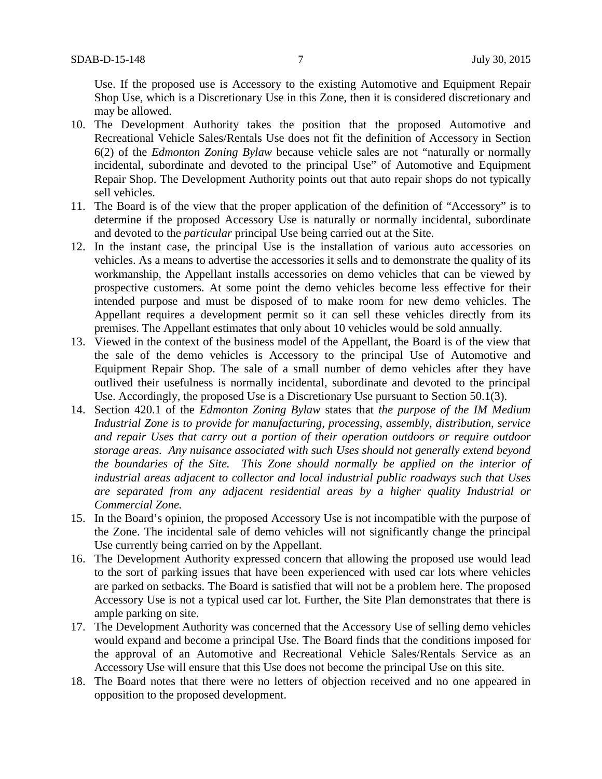Use. If the proposed use is Accessory to the existing Automotive and Equipment Repair Shop Use, which is a Discretionary Use in this Zone, then it is considered discretionary and may be allowed.

- 10. The Development Authority takes the position that the proposed Automotive and Recreational Vehicle Sales/Rentals Use does not fit the definition of Accessory in Section 6(2) of the *Edmonton Zoning Bylaw* because vehicle sales are not "naturally or normally incidental, subordinate and devoted to the principal Use" of Automotive and Equipment Repair Shop. The Development Authority points out that auto repair shops do not typically sell vehicles.
- 11. The Board is of the view that the proper application of the definition of "Accessory" is to determine if the proposed Accessory Use is naturally or normally incidental, subordinate and devoted to the *particular* principal Use being carried out at the Site.
- 12. In the instant case, the principal Use is the installation of various auto accessories on vehicles. As a means to advertise the accessories it sells and to demonstrate the quality of its workmanship, the Appellant installs accessories on demo vehicles that can be viewed by prospective customers. At some point the demo vehicles become less effective for their intended purpose and must be disposed of to make room for new demo vehicles. The Appellant requires a development permit so it can sell these vehicles directly from its premises. The Appellant estimates that only about 10 vehicles would be sold annually.
- 13. Viewed in the context of the business model of the Appellant, the Board is of the view that the sale of the demo vehicles is Accessory to the principal Use of Automotive and Equipment Repair Shop. The sale of a small number of demo vehicles after they have outlived their usefulness is normally incidental, subordinate and devoted to the principal Use. Accordingly, the proposed Use is a Discretionary Use pursuant to Section 50.1(3).
- 14. Section 420.1 of the *Edmonton Zoning Bylaw* states that *the purpose of the IM Medium Industrial Zone is to provide for manufacturing, processing, assembly, distribution, service and repair Uses that carry out a portion of their operation outdoors or require outdoor storage areas. Any nuisance associated with such Uses should not generally extend beyond the boundaries of the Site. This Zone should normally be applied on the interior of industrial areas adjacent to collector and local industrial public roadways such that Uses are separated from any adjacent residential areas by a higher quality Industrial or Commercial Zone.*
- 15. In the Board's opinion, the proposed Accessory Use is not incompatible with the purpose of the Zone. The incidental sale of demo vehicles will not significantly change the principal Use currently being carried on by the Appellant.
- 16. The Development Authority expressed concern that allowing the proposed use would lead to the sort of parking issues that have been experienced with used car lots where vehicles are parked on setbacks. The Board is satisfied that will not be a problem here. The proposed Accessory Use is not a typical used car lot. Further, the Site Plan demonstrates that there is ample parking on site.
- 17. The Development Authority was concerned that the Accessory Use of selling demo vehicles would expand and become a principal Use. The Board finds that the conditions imposed for the approval of an Automotive and Recreational Vehicle Sales/Rentals Service as an Accessory Use will ensure that this Use does not become the principal Use on this site.
- 18. The Board notes that there were no letters of objection received and no one appeared in opposition to the proposed development.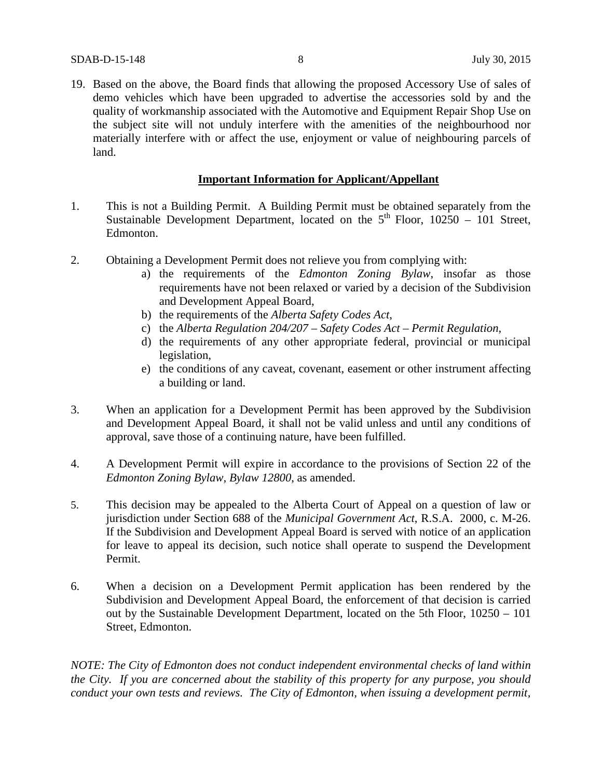19. Based on the above, the Board finds that allowing the proposed Accessory Use of sales of demo vehicles which have been upgraded to advertise the accessories sold by and the quality of workmanship associated with the Automotive and Equipment Repair Shop Use on the subject site will not unduly interfere with the amenities of the neighbourhood nor materially interfere with or affect the use, enjoyment or value of neighbouring parcels of land.

#### **Important Information for Applicant/Appellant**

- 1. This is not a Building Permit. A Building Permit must be obtained separately from the Sustainable Development Department, located on the  $5<sup>th</sup>$  Floor, 10250 – 101 Street, Edmonton.
- 2. Obtaining a Development Permit does not relieve you from complying with:
	- a) the requirements of the *Edmonton Zoning Bylaw*, insofar as those requirements have not been relaxed or varied by a decision of the Subdivision and Development Appeal Board,
	- b) the requirements of the *Alberta Safety Codes Act*,
	- c) the *Alberta Regulation 204/207 – Safety Codes Act – Permit Regulation*,
	- d) the requirements of any other appropriate federal, provincial or municipal legislation,
	- e) the conditions of any caveat, covenant, easement or other instrument affecting a building or land.
- 3. When an application for a Development Permit has been approved by the Subdivision and Development Appeal Board, it shall not be valid unless and until any conditions of approval, save those of a continuing nature, have been fulfilled.
- 4. A Development Permit will expire in accordance to the provisions of Section 22 of the *Edmonton Zoning Bylaw, Bylaw 12800*, as amended.
- 5. This decision may be appealed to the Alberta Court of Appeal on a question of law or jurisdiction under Section 688 of the *Municipal Government Act*, R.S.A. 2000, c. M-26. If the Subdivision and Development Appeal Board is served with notice of an application for leave to appeal its decision, such notice shall operate to suspend the Development Permit.
- 6. When a decision on a Development Permit application has been rendered by the Subdivision and Development Appeal Board, the enforcement of that decision is carried out by the Sustainable Development Department, located on the 5th Floor, 10250 – 101 Street, Edmonton.

*NOTE: The City of Edmonton does not conduct independent environmental checks of land within the City. If you are concerned about the stability of this property for any purpose, you should conduct your own tests and reviews. The City of Edmonton, when issuing a development permit,*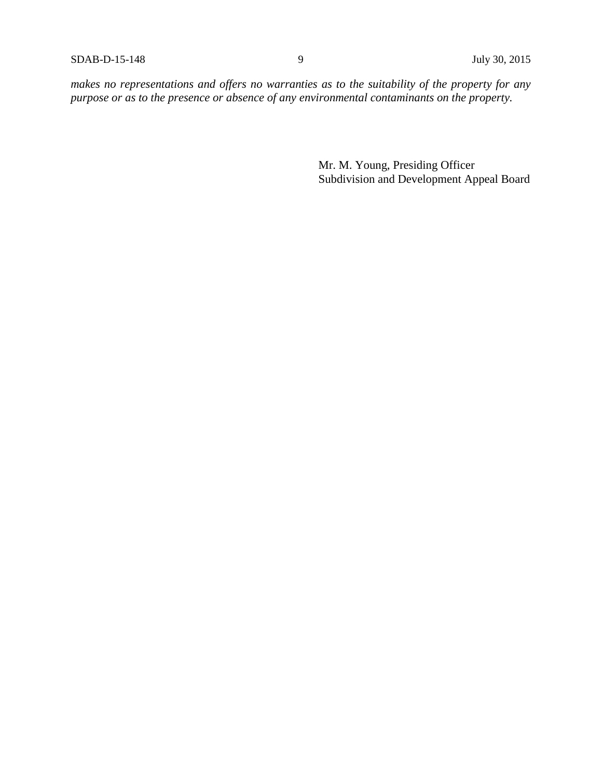*makes no representations and offers no warranties as to the suitability of the property for any purpose or as to the presence or absence of any environmental contaminants on the property.*

> Mr. M. Young, Presiding Officer Subdivision and Development Appeal Board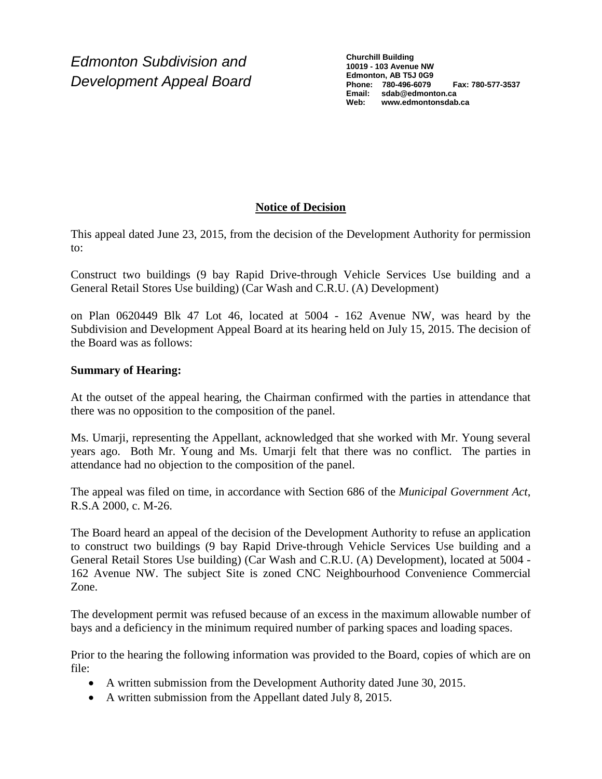*Edmonton Subdivision and Development Appeal Board* **Churchill Building 10019 - 103 Avenue NW Edmonton, AB T5J 0G9 Phone: 780-496-6079 Fax: 780-577-3537 Email: sdab@edmonton.ca Web: www.edmontonsdab.ca**

# **Notice of Decision**

This appeal dated June 23, 2015, from the decision of the Development Authority for permission to:

Construct two buildings (9 bay Rapid Drive-through Vehicle Services Use building and a General Retail Stores Use building) (Car Wash and C.R.U. (A) Development)

on Plan 0620449 Blk 47 Lot 46, located at 5004 - 162 Avenue NW, was heard by the Subdivision and Development Appeal Board at its hearing held on July 15, 2015. The decision of the Board was as follows:

# **Summary of Hearing:**

At the outset of the appeal hearing, the Chairman confirmed with the parties in attendance that there was no opposition to the composition of the panel.

Ms. Umarji, representing the Appellant, acknowledged that she worked with Mr. Young several years ago. Both Mr. Young and Ms. Umarji felt that there was no conflict. The parties in attendance had no objection to the composition of the panel.

The appeal was filed on time, in accordance with Section 686 of the *Municipal Government Act*, R.S.A 2000, c. M-26.

The Board heard an appeal of the decision of the Development Authority to refuse an application to construct two buildings (9 bay Rapid Drive-through Vehicle Services Use building and a General Retail Stores Use building) (Car Wash and C.R.U. (A) Development), located at 5004 - 162 Avenue NW. The subject Site is zoned CNC Neighbourhood Convenience Commercial Zone.

The development permit was refused because of an excess in the maximum allowable number of bays and a deficiency in the minimum required number of parking spaces and loading spaces.

Prior to the hearing the following information was provided to the Board, copies of which are on file:

- A written submission from the Development Authority dated June 30, 2015.
- A written submission from the Appellant dated July 8, 2015.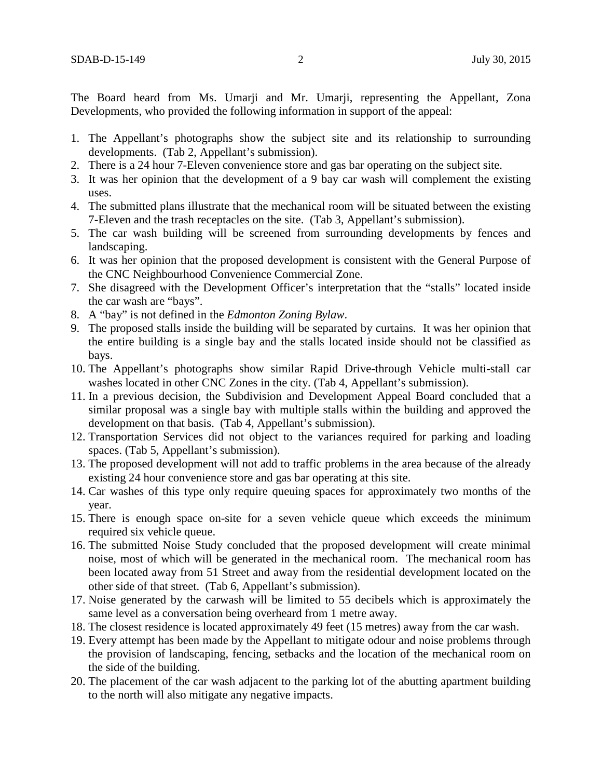The Board heard from Ms. Umarji and Mr. Umarji, representing the Appellant, Zona Developments, who provided the following information in support of the appeal:

- 1. The Appellant's photographs show the subject site and its relationship to surrounding developments. (Tab 2, Appellant's submission).
- 2. There is a 24 hour 7-Eleven convenience store and gas bar operating on the subject site.
- 3. It was her opinion that the development of a 9 bay car wash will complement the existing uses.
- 4. The submitted plans illustrate that the mechanical room will be situated between the existing 7-Eleven and the trash receptacles on the site. (Tab 3, Appellant's submission).
- 5. The car wash building will be screened from surrounding developments by fences and landscaping.
- 6. It was her opinion that the proposed development is consistent with the General Purpose of the CNC Neighbourhood Convenience Commercial Zone.
- 7. She disagreed with the Development Officer's interpretation that the "stalls" located inside the car wash are "bays".
- 8. A "bay" is not defined in the *Edmonton Zoning Bylaw*.
- 9. The proposed stalls inside the building will be separated by curtains. It was her opinion that the entire building is a single bay and the stalls located inside should not be classified as bays.
- 10. The Appellant's photographs show similar Rapid Drive-through Vehicle multi-stall car washes located in other CNC Zones in the city. (Tab 4, Appellant's submission).
- 11. In a previous decision, the Subdivision and Development Appeal Board concluded that a similar proposal was a single bay with multiple stalls within the building and approved the development on that basis. (Tab 4, Appellant's submission).
- 12. Transportation Services did not object to the variances required for parking and loading spaces. (Tab 5, Appellant's submission).
- 13. The proposed development will not add to traffic problems in the area because of the already existing 24 hour convenience store and gas bar operating at this site.
- 14. Car washes of this type only require queuing spaces for approximately two months of the year.
- 15. There is enough space on-site for a seven vehicle queue which exceeds the minimum required six vehicle queue.
- 16. The submitted Noise Study concluded that the proposed development will create minimal noise, most of which will be generated in the mechanical room. The mechanical room has been located away from 51 Street and away from the residential development located on the other side of that street. (Tab 6, Appellant's submission).
- 17. Noise generated by the carwash will be limited to 55 decibels which is approximately the same level as a conversation being overheard from 1 metre away.
- 18. The closest residence is located approximately 49 feet (15 metres) away from the car wash.
- 19. Every attempt has been made by the Appellant to mitigate odour and noise problems through the provision of landscaping, fencing, setbacks and the location of the mechanical room on the side of the building.
- 20. The placement of the car wash adjacent to the parking lot of the abutting apartment building to the north will also mitigate any negative impacts.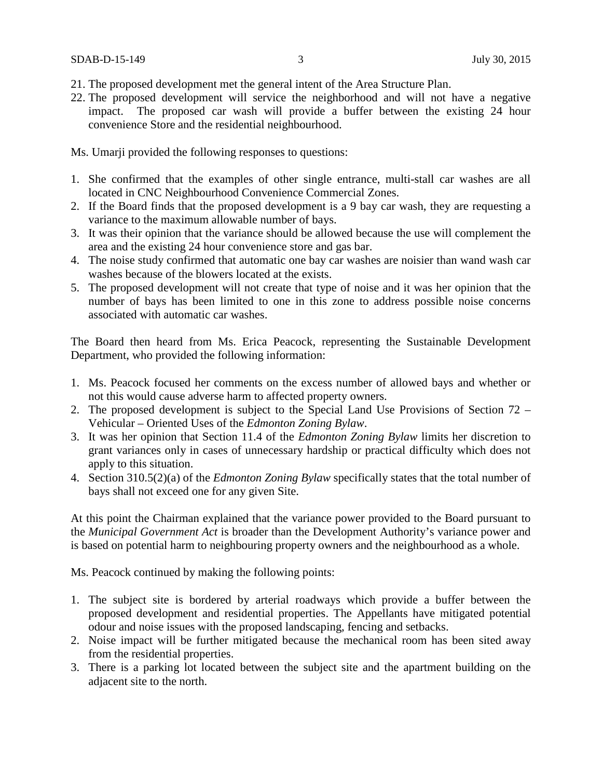- 21. The proposed development met the general intent of the Area Structure Plan.
- 22. The proposed development will service the neighborhood and will not have a negative impact. The proposed car wash will provide a buffer between the existing 24 hour convenience Store and the residential neighbourhood.

Ms. Umarji provided the following responses to questions:

- 1. She confirmed that the examples of other single entrance, multi-stall car washes are all located in CNC Neighbourhood Convenience Commercial Zones.
- 2. If the Board finds that the proposed development is a 9 bay car wash, they are requesting a variance to the maximum allowable number of bays.
- 3. It was their opinion that the variance should be allowed because the use will complement the area and the existing 24 hour convenience store and gas bar.
- 4. The noise study confirmed that automatic one bay car washes are noisier than wand wash car washes because of the blowers located at the exists.
- 5. The proposed development will not create that type of noise and it was her opinion that the number of bays has been limited to one in this zone to address possible noise concerns associated with automatic car washes.

The Board then heard from Ms. Erica Peacock, representing the Sustainable Development Department, who provided the following information:

- 1. Ms. Peacock focused her comments on the excess number of allowed bays and whether or not this would cause adverse harm to affected property owners.
- 2. The proposed development is subject to the Special Land Use Provisions of Section 72 Vehicular – Oriented Uses of the *Edmonton Zoning Bylaw*.
- 3. It was her opinion that Section 11.4 of the *Edmonton Zoning Bylaw* limits her discretion to grant variances only in cases of unnecessary hardship or practical difficulty which does not apply to this situation.
- 4. Section 310.5(2)(a) of the *Edmonton Zoning Bylaw* specifically states that the total number of bays shall not exceed one for any given Site.

At this point the Chairman explained that the variance power provided to the Board pursuant to the *Municipal Government Act* is broader than the Development Authority's variance power and is based on potential harm to neighbouring property owners and the neighbourhood as a whole.

Ms. Peacock continued by making the following points:

- 1. The subject site is bordered by arterial roadways which provide a buffer between the proposed development and residential properties. The Appellants have mitigated potential odour and noise issues with the proposed landscaping, fencing and setbacks.
- 2. Noise impact will be further mitigated because the mechanical room has been sited away from the residential properties.
- 3. There is a parking lot located between the subject site and the apartment building on the adjacent site to the north.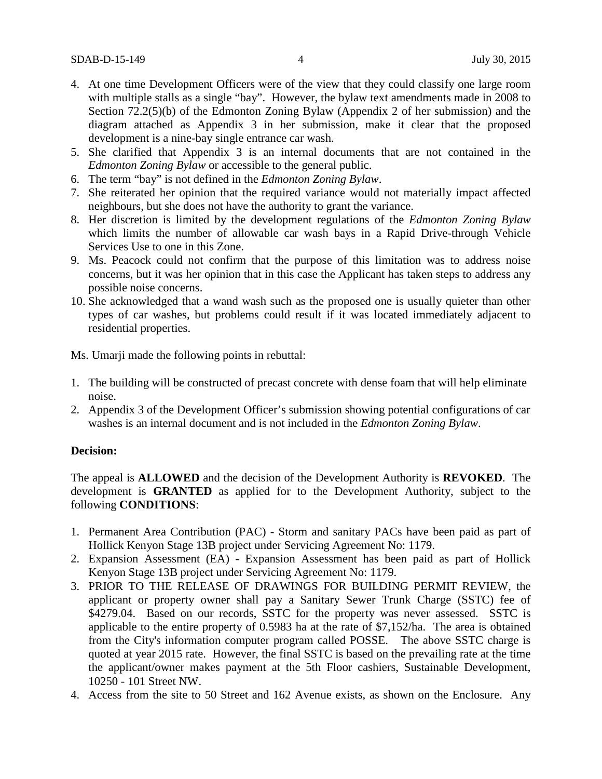- 4. At one time Development Officers were of the view that they could classify one large room with multiple stalls as a single "bay". However, the bylaw text amendments made in 2008 to Section 72.2(5)(b) of the Edmonton Zoning Bylaw (Appendix 2 of her submission) and the diagram attached as Appendix 3 in her submission, make it clear that the proposed development is a nine-bay single entrance car wash.
- 5. She clarified that Appendix 3 is an internal documents that are not contained in the *Edmonton Zoning Bylaw* or accessible to the general public.
- 6. The term "bay" is not defined in the *Edmonton Zoning Bylaw*.
- 7. She reiterated her opinion that the required variance would not materially impact affected neighbours, but she does not have the authority to grant the variance.
- 8. Her discretion is limited by the development regulations of the *Edmonton Zoning Bylaw* which limits the number of allowable car wash bays in a Rapid Drive-through Vehicle Services Use to one in this Zone.
- 9. Ms. Peacock could not confirm that the purpose of this limitation was to address noise concerns, but it was her opinion that in this case the Applicant has taken steps to address any possible noise concerns.
- 10. She acknowledged that a wand wash such as the proposed one is usually quieter than other types of car washes, but problems could result if it was located immediately adjacent to residential properties.

Ms. Umarji made the following points in rebuttal:

- 1. The building will be constructed of precast concrete with dense foam that will help eliminate noise.
- 2. Appendix 3 of the Development Officer's submission showing potential configurations of car washes is an internal document and is not included in the *Edmonton Zoning Bylaw*.

# **Decision:**

The appeal is **ALLOWED** and the decision of the Development Authority is **REVOKED**. The development is **GRANTED** as applied for to the Development Authority, subject to the following **CONDITIONS**:

- 1. Permanent Area Contribution (PAC) Storm and sanitary PACs have been paid as part of Hollick Kenyon Stage 13B project under Servicing Agreement No: 1179.
- 2. Expansion Assessment (EA) Expansion Assessment has been paid as part of Hollick Kenyon Stage 13B project under Servicing Agreement No: 1179.
- 3. PRIOR TO THE RELEASE OF DRAWINGS FOR BUILDING PERMIT REVIEW, the applicant or property owner shall pay a Sanitary Sewer Trunk Charge (SSTC) fee of \$4279.04. Based on our records, SSTC for the property was never assessed. SSTC is applicable to the entire property of 0.5983 ha at the rate of \$7,152/ha. The area is obtained from the City's information computer program called POSSE. The above SSTC charge is quoted at year 2015 rate. However, the final SSTC is based on the prevailing rate at the time the applicant/owner makes payment at the 5th Floor cashiers, Sustainable Development, 10250 - 101 Street NW.
- 4. Access from the site to 50 Street and 162 Avenue exists, as shown on the Enclosure. Any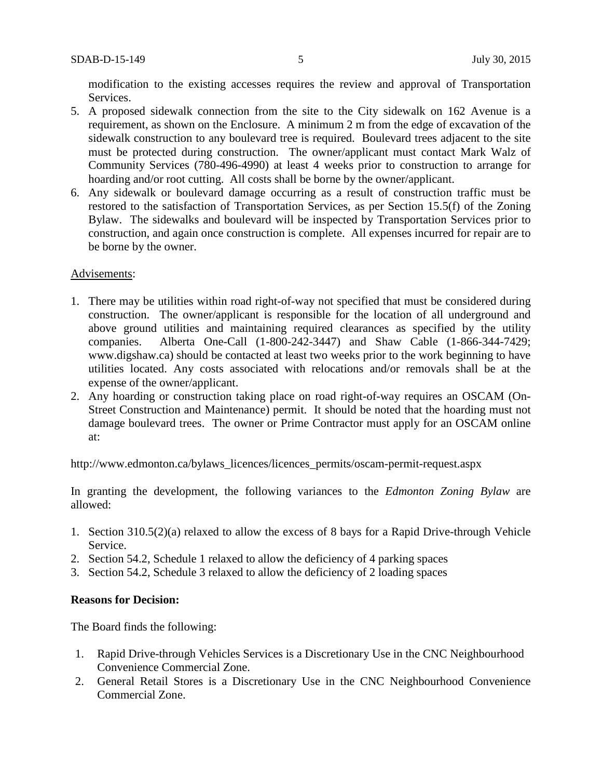modification to the existing accesses requires the review and approval of Transportation Services.

- 5. A proposed sidewalk connection from the site to the City sidewalk on 162 Avenue is a requirement, as shown on the Enclosure. A minimum 2 m from the edge of excavation of the sidewalk construction to any boulevard tree is required. Boulevard trees adjacent to the site must be protected during construction. The owner/applicant must contact Mark Walz of Community Services (780-496-4990) at least 4 weeks prior to construction to arrange for hoarding and/or root cutting. All costs shall be borne by the owner/applicant.
- 6. Any sidewalk or boulevard damage occurring as a result of construction traffic must be restored to the satisfaction of Transportation Services, as per Section 15.5(f) of the Zoning Bylaw. The sidewalks and boulevard will be inspected by Transportation Services prior to construction, and again once construction is complete. All expenses incurred for repair are to be borne by the owner.

#### Advisements:

- 1. There may be utilities within road right-of-way not specified that must be considered during construction. The owner/applicant is responsible for the location of all underground and above ground utilities and maintaining required clearances as specified by the utility companies. Alberta One-Call (1-800-242-3447) and Shaw Cable (1-866-344-7429; www.digshaw.ca) should be contacted at least two weeks prior to the work beginning to have utilities located. Any costs associated with relocations and/or removals shall be at the expense of the owner/applicant.
- 2. Any hoarding or construction taking place on road right-of-way requires an OSCAM (On-Street Construction and Maintenance) permit. It should be noted that the hoarding must not damage boulevard trees. The owner or Prime Contractor must apply for an OSCAM online at:

http://www.edmonton.ca/bylaws\_licences/licences\_permits/oscam-permit-request.aspx

In granting the development, the following variances to the *Edmonton Zoning Bylaw* are allowed:

- 1. Section 310.5(2)(a) relaxed to allow the excess of 8 bays for a Rapid Drive-through Vehicle Service.
- 2. Section 54.2, Schedule 1 relaxed to allow the deficiency of 4 parking spaces
- 3. Section 54.2, Schedule 3 relaxed to allow the deficiency of 2 loading spaces

#### **Reasons for Decision:**

The Board finds the following:

- 1. Rapid Drive-through Vehicles Services is a Discretionary Use in the CNC Neighbourhood Convenience Commercial Zone.
- 2. General Retail Stores is a Discretionary Use in the CNC Neighbourhood Convenience Commercial Zone.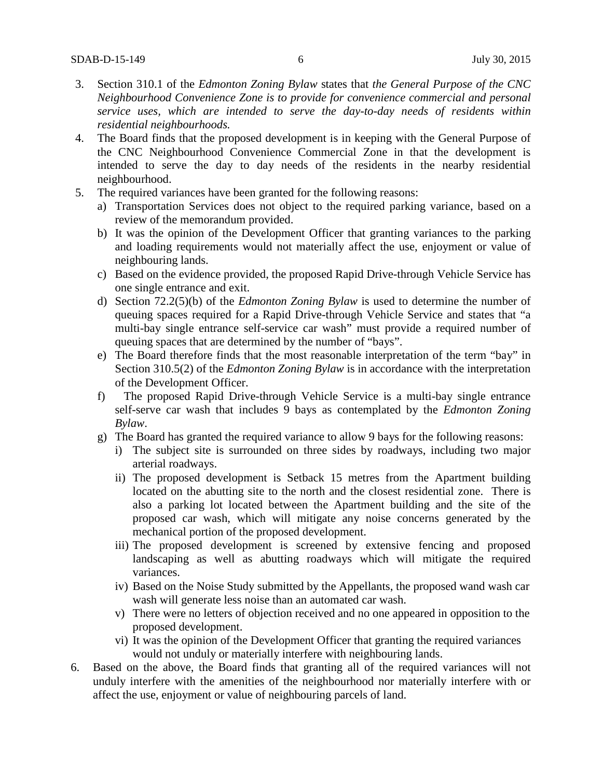- 3. Section 310.1 of the *Edmonton Zoning Bylaw* states that *the General Purpose of the CNC Neighbourhood Convenience Zone is to provide for convenience commercial and personal service uses, which are intended to serve the day-to-day needs of residents within residential neighbourhoods.*
- 4. The Board finds that the proposed development is in keeping with the General Purpose of the CNC Neighbourhood Convenience Commercial Zone in that the development is intended to serve the day to day needs of the residents in the nearby residential neighbourhood.
- 5. The required variances have been granted for the following reasons:
	- a) Transportation Services does not object to the required parking variance, based on a review of the memorandum provided.
	- b) It was the opinion of the Development Officer that granting variances to the parking and loading requirements would not materially affect the use, enjoyment or value of neighbouring lands.
	- c) Based on the evidence provided, the proposed Rapid Drive-through Vehicle Service has one single entrance and exit.
	- d) Section 72.2(5)(b) of the *Edmonton Zoning Bylaw* is used to determine the number of queuing spaces required for a Rapid Drive-through Vehicle Service and states that "a multi-bay single entrance self-service car wash" must provide a required number of queuing spaces that are determined by the number of "bays".
	- e) The Board therefore finds that the most reasonable interpretation of the term "bay" in Section 310.5(2) of the *Edmonton Zoning Bylaw* is in accordance with the interpretation of the Development Officer.
	- f) The proposed Rapid Drive-through Vehicle Service is a multi-bay single entrance self-serve car wash that includes 9 bays as contemplated by the *Edmonton Zoning Bylaw*.
	- g) The Board has granted the required variance to allow 9 bays for the following reasons:
		- i) The subject site is surrounded on three sides by roadways, including two major arterial roadways.
		- ii) The proposed development is Setback 15 metres from the Apartment building located on the abutting site to the north and the closest residential zone. There is also a parking lot located between the Apartment building and the site of the proposed car wash, which will mitigate any noise concerns generated by the mechanical portion of the proposed development.
		- iii) The proposed development is screened by extensive fencing and proposed landscaping as well as abutting roadways which will mitigate the required variances.
		- iv) Based on the Noise Study submitted by the Appellants, the proposed wand wash car wash will generate less noise than an automated car wash.
		- v) There were no letters of objection received and no one appeared in opposition to the proposed development.
		- vi) It was the opinion of the Development Officer that granting the required variances would not unduly or materially interfere with neighbouring lands.
- 6. Based on the above, the Board finds that granting all of the required variances will not unduly interfere with the amenities of the neighbourhood nor materially interfere with or affect the use, enjoyment or value of neighbouring parcels of land.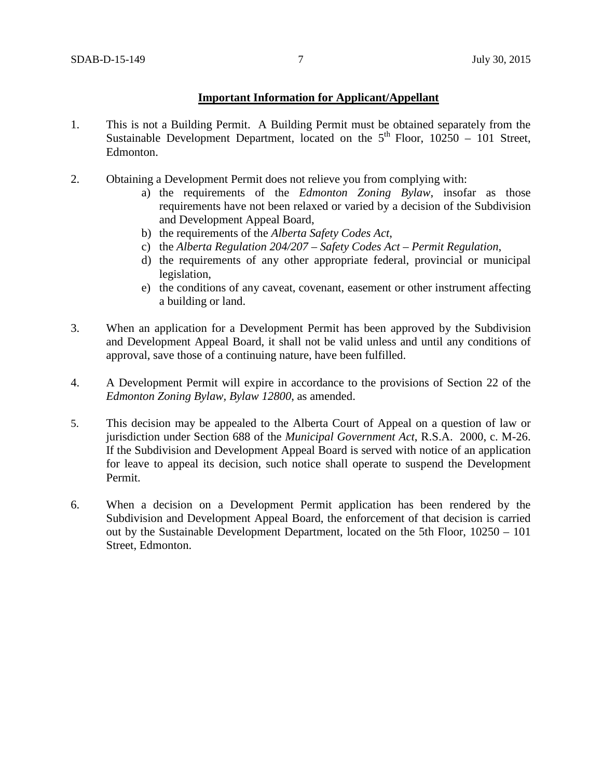#### **Important Information for Applicant/Appellant**

- 1. This is not a Building Permit. A Building Permit must be obtained separately from the Sustainable Development Department, located on the  $5<sup>th</sup>$  Floor, 10250 – 101 Street, Edmonton.
- 2. Obtaining a Development Permit does not relieve you from complying with:
	- a) the requirements of the *Edmonton Zoning Bylaw*, insofar as those requirements have not been relaxed or varied by a decision of the Subdivision and Development Appeal Board,
	- b) the requirements of the *Alberta Safety Codes Act*,
	- c) the *Alberta Regulation 204/207 – Safety Codes Act – Permit Regulation*,
	- d) the requirements of any other appropriate federal, provincial or municipal legislation,
	- e) the conditions of any caveat, covenant, easement or other instrument affecting a building or land.
- 3. When an application for a Development Permit has been approved by the Subdivision and Development Appeal Board, it shall not be valid unless and until any conditions of approval, save those of a continuing nature, have been fulfilled.
- 4. A Development Permit will expire in accordance to the provisions of Section 22 of the *Edmonton Zoning Bylaw, Bylaw 12800*, as amended.
- 5. This decision may be appealed to the Alberta Court of Appeal on a question of law or jurisdiction under Section 688 of the *Municipal Government Act*, R.S.A. 2000, c. M-26. If the Subdivision and Development Appeal Board is served with notice of an application for leave to appeal its decision, such notice shall operate to suspend the Development Permit.
- 6. When a decision on a Development Permit application has been rendered by the Subdivision and Development Appeal Board, the enforcement of that decision is carried out by the Sustainable Development Department, located on the 5th Floor, 10250 – 101 Street, Edmonton.